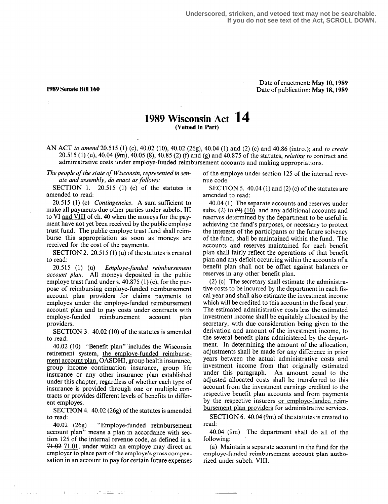## Date of enactment: May 10, 1989 1989 Senate Bill 160 Date of publication: May 18, 1989

## 1989 Wisconsin Act 14 (Vetoed in Part)

AN ACT to amend 20.515 (1) (c), 40.02 (10), 40.02 (26g), 40.04 (1) and (2) (c) and 40.86 (intro.); and to create 20.515 (1) (u), 40.04 (9m), 40.05 (8), 40.85 (2) (f) and (g) and 40.875 of the statutes, relating to contract and administrative costs under employe-funded reimbursement accounts and making appropriations.

The people of the state of Wisconsin, represented in senate and assembly, do enact as follows:<br>SECTION 1.  $20.515$  (1) (c) of the

 $20.515$  (1) (c) of the statutes is amended to read:

20.515 (1) (c) Contingencies. A sum sufficient to make all payments due other parties under subchs. III to VI and VIII of ch. 40 when the moneys for the payment have not yet been received by the public employe trust fund. The public employe trust fund shall reimburse this appropriation as soon as moneys are received for the cost of the payments.

SECTION 2. 20.515  $(1)(u)$  of the statutes is created to read:

20.515 (1) (u) Employe-funded reimbursement account plan. All moneys deposited in the public employe trust fund under s. 40.875 (1) (e), for the purpose of reimbursing employe-funded reimbursement account plan providers for claims payments to employes under the employe-funded reimbursement account plan and to pay costs under contracts with<br>employe-funded reimbursement account plan employe-funded reimbursement account providers.

SECTION 3. 40.02 (10) of the statutes is amended to read:

40.02 (10) "Benefit plan" includes the Wisconsin retirement system, the employe-funded reimbursement account plan, OASDHI, group health insurance, group income continuation insurance, group life insurance or any other insurance plan established under this chapter, regardless of whether each type of insurance is provided through one or multiple contracts or provides different levels of benefits to different employes.

SECTION 4. 40.02 (26g) of the statutes is amended to read:

40.02 (26g) "Employe-funded reimbursement account plan" means a plan in accordance with section 125 of the internal revenue code, as defined in s.  $71.02$   $71.01$ , under which an employe may direct an employer to place part of the employe's gross compensation in an account to pay for certain future expenses

of the company of the main same

of the employe under section 125 of the internal revenue code.

SECTION 5.  $40.04(1)$  and (2) (c) of the statutes are amended to read:

40.04 (1) The separate accounts and reserves under subs. (2) to  $(9)(10)$  and any additional accounts and reserves determined by the department to be useful in achieving the fund's purposes, or necessary to protect the interests of the participants or the future solvency of the fund, shall be maintained within the fund. The accounts and reserves maintained for each benefit plan shall fairly reflect the operations of that benefit plan and any deficit occurring within the accounts of a benefit plan shall not be offset against balances or reserves in any other benefit plan.

(2) (c) The secretary shall estimate the administrative costs to be incurred by the department in each fiscal year and shall also estimate the investment income which will be credited to this account in the fiscal year. The estimated administrative costs less the estimated investment income shall be equitably allocated by the secretary, with due consideration being given to the derivation and amount of the investment income, to the several benefit plans administered by the department. In determining the amount of the allocation, adjustments shall be made for any difference in prior years between the actual administrative costs and investment income from that originally estimated under this paragraph. An amount equal to the adjusted allocated costs shall be transferred to this account from the investment earnings credited to the respective benefit plan accounts and from payments by the respective insurers or employe-funded reimbursement plan providers for administrative services.

SECTION 6. 40.04 (9m) of the statutes is created to read:

40.04 (9m) The department shall do all of the following:

(a) Maintain a separate account in the fund for the employe-funded reimbursement account plan authorized under subch. VIII .